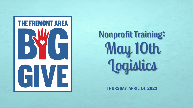

### Nonprofit Training: May 10th **Logistics**

THURSDAY, APRIL 14, 2022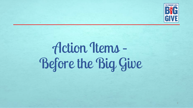

# Action Items – Before the Big Give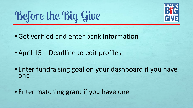

Before the Big Give

•Get verified and enter bank information

• April 15 – Deadline to edit profiles

• Enter fundraising goal on your dashboard if you have one

• Enter matching grant if you have one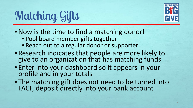

### Matching Gifts

- Now is the time to find a matching donor!
	- Pool board member gifts together
	- Reach out to a regular donor or supporter
- Research indicates that people are more likely to give to an organization that has matching funds
- Enter into your dashboard so it appears in your profile and in your totals
- The matching gift does not need to be turned into FACF, deposit directly into your bank account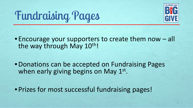

Fundraising Pages

• Encourage your supporters to create them now – all the way through May 10th!

- •Donations can be accepted on Fundraising Pages when early giving begins on May 1st.
- Prizes for most successful fundraising pages!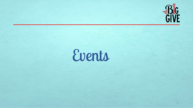

# Events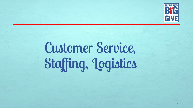

# Customer Service, Staffing, Logistics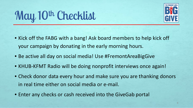

### May 10th Checklist

- Kick off the FABG with a bang! Ask board members to help kick off your campaign by donating in the early morning hours.
- Be active all day on social media! Use #FremontAreaBigGive
- KHUB-KFMT Radio will be doing nonprofit interviews once again!
- Check donor data every hour and make sure you are thanking donors in real time either on social media or e-mail.
- Enter any checks or cash received into the GiveGab portal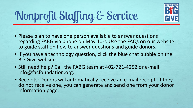

### Nonprofit Staffing & Service

- Please plan to have one person available to answer questions regarding FABG via phone on May 10<sup>th</sup>. Use the FAQs on our website to guide staff on how to answer questions and guide donors.
- If you have a technology question, click the blue chat bubble on the Big Give website.
- Still need help? Call the FABG team at 402-721-4252 or e-mail info@facfoundation.org.
- Receipts: Donors will automatically receive an e-mail receipt. If they do not receive one, you can generate and send one from your donor information page.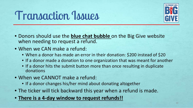### Transaction Issues



- Donors should use the **blue chat bubble** on the Big Give website when needing to request a refund.
- When we CAN make a refund:
	- When a donor has made an error in their donation: \$200 instead of \$20
	- If a donor made a donation to one organization that was meant for another
	- If a donor hits the submit button more than once resulting in duplicate donations
- When we CANNOT make a refund:
	- If a donor changes his/her mind about donating altogether
- The ticker will tick backward this year when a refund is made.
- **There is a 4-day window to request refunds!!**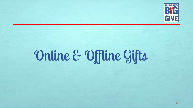

# Online & Offline Gifts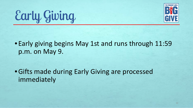



• Early giving begins May 1st and runs through 11:59 p.m. on May 9.

•Gifts made during Early Giving are processed immediately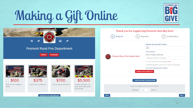# Making a Gift Online



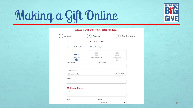

# Making a Gift Online

|                                                |                           | <b>Enter Your Payment Information</b> |                     |              |
|------------------------------------------------|---------------------------|---------------------------------------|---------------------|--------------|
| Amount                                         |                           | Payment                               | 3                   | Confirmation |
|                                                | Your \$10.00 Gift         |                                       |                     |              |
| Payment Method (Click on one of the following) |                           |                                       |                     |              |
| <b>Credit Card</b>                             | <b>Donor Advised Fund</b> |                                       | <b>Bank Account</b> |              |
| <b>First Name</b>                              |                           | <b>Last Name</b>                      |                     |              |
|                                                |                           |                                       |                     |              |
| Credit Card Info                               |                           |                                       |                     |              |
| Card number                                    |                           |                                       | MM/YY CVC           |              |
| Email                                          |                           |                                       |                     |              |
| <b>Mailing Address</b><br>Street               |                           |                                       |                     |              |
| City                                           |                           | <b>State</b>                          |                     |              |
|                                                |                           | Select State                          | ٠                   |              |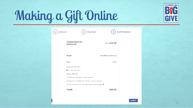

## Making a Gift Online

 $\binom{1}{1}$ 

| Amount |                                               | Payment                                                                 |                          |               | Confirmation |
|--------|-----------------------------------------------|-------------------------------------------------------------------------|--------------------------|---------------|--------------|
|        | <b>Fremont Rural Fire</b><br>Department       |                                                                         |                          | Gift: \$10.00 |              |
|        | Email:                                        |                                                                         | lfeala@facfoundation.org |               |              |
|        | Fees:                                         |                                                                         |                          | \$0.81        |              |
|        | What's with these fees?                       |                                                                         |                          |               |              |
|        | I'll cover the fees!<br>Privacy Option(s)     |                                                                         |                          |               |              |
|        | $\Box$ Please do not display a name publicly. |                                                                         |                          |               |              |
|        |                                               | $\Box$ Please do not display the donation amount publicly.              |                          |               |              |
|        |                                               | $\Box$ Hide my name from this organization and the public. <sup>0</sup> |                          |               |              |
|        | <b>Total:</b>                                 |                                                                         |                          | \$10.81       |              |

**SUBMIT**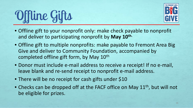



- Offline gift to your nonprofit only: make check payable to nonprofit and deliver to participating nonprofit by **May 10th.**
- Offline gift to multiple nonprofits: make payable to Fremont Area Big Give and deliver to Community Foundation, accompanied by completed offline gift form, by May 10<sup>th</sup>
- Donor must include e-mail address to receive a receipt! If no e-mail, leave blank and re-send receipt to nonprofit e-mail address.
- There will be no receipt for cash gifts under \$10
- Checks can be dropped off at the FACF office on May 11<sup>th</sup>, but will not be eligible for prizes.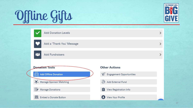# Offline Gifts



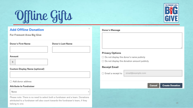# Offline Gifts



For Fremont Area Big Give

Donor's First Name

Donor's Last Name

 $\overline{\mathbf{v}}$ 

### Amount

 $\mathbb{S}$ 

### **Custom Display Name (optional)**

### □ Add donor address

### **Attribute to Fundraiser**

### None

Please note: There is no need to select both a fundraiser and a team. Donations attributed to a fundraiser will also count towards the fundraiser's team, if they belong to one.



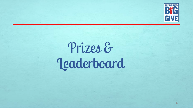

### Prizes & Leaderboard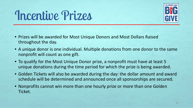### Incentive Prizes



- Prizes will be awarded for Most Unique Donors and Most Dollars Raised throughout the day.
- A unique donor is one individual. Multiple donations from one donor to the same nonprofit will count as one gift.
- To qualify for the Most Unique Donor prize, a nonprofit must have at least 5 unique donations during the time period for which the prize is being awarded.
- Golden Tickets will also be awarded during the day: the dollar amount and award schedule will be determined and announced once all sponsorships are secured.
- Nonprofits cannot win more than one hourly prize or more than one Golden Ticket.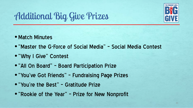

### Additional Big Give Prizes

- Match Minutes
- •"Master the G-Force of Social Media" Social Media Contest
- •"Why I Give" Contest
- •"All On Board" Board Participation Prize
- •"You've Got Friends" Fundraising Page Prizes
- •"You're the Best" Gratitude Prize
- •"Rookie of the Year" Prize for New Nonprofit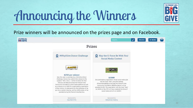### Announcing the Winners



Prize winners will be announced on the prizes page and on Facebook.

| Prizes<br>#WhyIGive Donor Challenge<br>May the G-Force Be With You!<br>ö<br>Social Media Contest<br>FORCE<br><b>COCHAAN HEAT</b><br>\$250 per winner<br>New this year is a pre-Big Give #WhyIGive Donor<br>\$1000<br>Challenge. Donors may submit their answer to the<br>One participating organization whose social media post<br>question "Why I Give" at the link below for their<br>has the most "likes" using the hashtag<br>chance to be featured across the Fremont Area<br>#FremontAreaBigGive and tags the Fremont Area<br>Community Foundation's social media platforms as well<br>Community Foundation (@facfoundation) will be | THE FREMONT AREA<br><b>BIG GIVE</b> |                                                           | Search | <b>PRIZES</b> | <b>V MENU</b> |  |
|--------------------------------------------------------------------------------------------------------------------------------------------------------------------------------------------------------------------------------------------------------------------------------------------------------------------------------------------------------------------------------------------------------------------------------------------------------------------------------------------------------------------------------------------------------------------------------------------------------------------------------------------|-------------------------------------|-----------------------------------------------------------|--------|---------------|---------------|--|
|                                                                                                                                                                                                                                                                                                                                                                                                                                                                                                                                                                                                                                            |                                     |                                                           |        |               |               |  |
|                                                                                                                                                                                                                                                                                                                                                                                                                                                                                                                                                                                                                                            |                                     |                                                           |        |               |               |  |
| awarded \$1,000. The organization with the most "likes"<br>of their choice. All submissions for the challenge will be<br>by NOON on May 9TH will have mastered the force of<br>put into a random drawing, and four \$250 prizes will be<br>social media and will win \$1000!!<br>awarded during the Fremont Area Big Give.                                                                                                                                                                                                                                                                                                                 |                                     | as a chance to win \$250 for a participating organization |        |               |               |  |
| Sponsored by<br>Sponsored by<br>Getzschman Heating<br>Arps Red-E-Mix                                                                                                                                                                                                                                                                                                                                                                                                                                                                                                                                                                       |                                     |                                                           |        |               |               |  |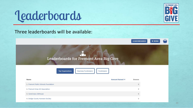



Three leaderboards will be available:



Leaderboards for Fremont Area Big Give



| Name                                 | Amount Raised V | Donors     |
|--------------------------------------|-----------------|------------|
| 1. Fremont Public Schools Foundation |                 | $^{\circ}$ |
| 2. Fremont Area Art Association      |                 | $\circ$    |
| 3. CareCorps LifeHouse               |                 | $\circ$    |
| 4. Dodge County Humane Society       |                 | 0          |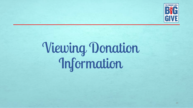

# Viewing Donation Information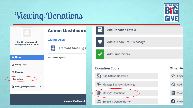### Viewing Donations



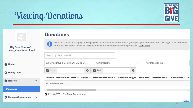### Viewing Donations



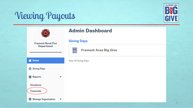### Viewing Payouts



|                                       | <b>Admin Dashboard</b>                             |  |
|---------------------------------------|----------------------------------------------------|--|
| <b>Fremont Rural Fire</b>             | <b>Giving Days</b>                                 |  |
| <b>Department</b>                     | <b>BYG</b><br>GIVE<br><b>Fremont Area Big Give</b> |  |
| A.<br>Home                            | View All Giving Days                               |  |
| <b>O</b> Giving Days                  |                                                    |  |
| <b>自 Reports</b>                      | $\checkmark$                                       |  |
| <b>Donations</b><br><b>Financials</b> |                                                    |  |
| <b>W</b> Manage Organization<br>v     |                                                    |  |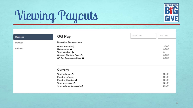

### Viewing Payouts

| <b>Balances</b> | <b>GG Pay</b>                                                                                                                                                                                  | Start Date | End Date                                       |
|-----------------|------------------------------------------------------------------------------------------------------------------------------------------------------------------------------------------------|------------|------------------------------------------------|
| Payouts         | <b>Donation Transactions</b>                                                                                                                                                                   |            |                                                |
| Refunds         | Gross Amount: 0<br>Net Amount: 0<br>Total Number: 0<br>Givegab Platform Fees: 0<br>GG Pay Processing Fees: 0                                                                                   |            | \$0.00<br>\$0.00<br>0<br>\$0.00<br>\$0.00      |
|                 | <b>Current</b><br>Total balance: $\boldsymbol{0}$<br>Pending refunds:<br>Pending disputes: $\boldsymbol{\Theta}$<br>Total in reserve: $\boldsymbol{0}$<br>Total balance to payout: $\bigoplus$ |            | \$0.00<br>\$0.00<br>\$0.00<br>\$0.00<br>\$0.00 |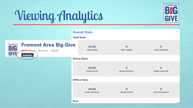

### Viewing Analytics

|                                                                                                                   | <b>Overall Stats</b><br><b>Total Stats</b> |                                       |                                         |
|-------------------------------------------------------------------------------------------------------------------|--------------------------------------------|---------------------------------------|-----------------------------------------|
| <b>Fremont Area Big Give</b><br>THE FREMONT AREA<br><b>\$0.00</b> Raised : 0 Donors : 0 Gifts<br><b>Analytics</b> | \$0.00<br><b>TOTAL RAISED</b>              | $\mathbf 0$<br><b>TOTAL DONORS</b>    | $\mathbf 0$<br><b>TOTAL DONATIONS</b>   |
|                                                                                                                   | <b>Online Stats</b>                        |                                       |                                         |
|                                                                                                                   | \$0.00<br><b>RAISED ONLINE</b>             | $\mathbf 0$<br><b>ONLINE DONORS @</b> | $\mathbf 0$<br><b>ONLINE DONATIONS</b>  |
|                                                                                                                   | <b>Offline Stats</b>                       |                                       |                                         |
|                                                                                                                   | \$0.00<br><b>RAISED OFFLINE O</b>          | $\Omega$<br><b>OFFLINE DONORS</b>     | $\mathbf 0$<br><b>OFFLINE DONATIONS</b> |
|                                                                                                                   | <b>Fees</b>                                |                                       |                                         |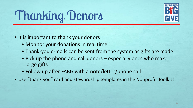### Thanking Donors



- It is important to thank your donors
	- Monitor your donations in real time
	- Thank-you e-mails can be sent from the system as gifts are made
	- Pick up the phone and call donors especially ones who make large gifts
	- Follow up after FABG with a note/letter/phone call
- Use "thank you" card and stewardship templates in the Nonprofit Toolkit!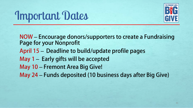### Important Dates



NOW ‒ Encourage donors/supporters to create a Fundraising Page for your Nonprofit April 15 – Deadline to build/update profile pages May  $1 -$  Early gifts will be accepted May 10 – Fremont Area Big Give! May 24 – Funds deposited (10 business days after Big Give)